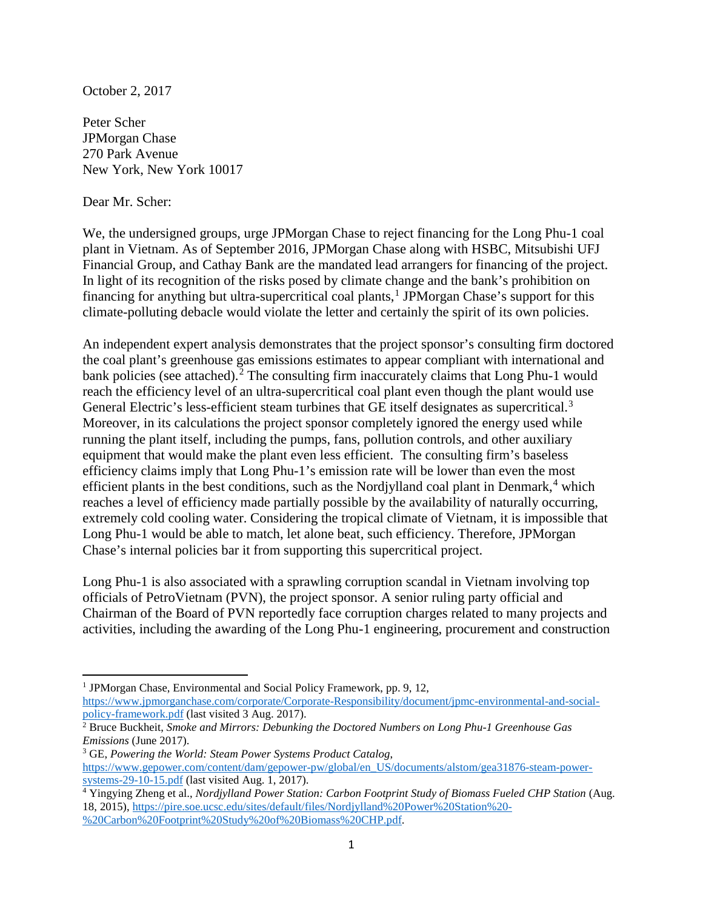October 2, 2017

Peter Scher JPMorgan Chase 270 Park Avenue New York, New York 10017

## Dear Mr. Scher:

 $\overline{\phantom{a}}$ 

We, the undersigned groups, urge JPMorgan Chase to reject financing for the Long Phu-1 coal plant in Vietnam. As of September 2016, JPMorgan Chase along with HSBC, Mitsubishi UFJ Financial Group, and Cathay Bank are the mandated lead arrangers for financing of the project. In light of its recognition of the risks posed by climate change and the bank's prohibition on financing for anything but ultra-supercritical coal plants,<sup>[1](#page-0-0)</sup> JPMorgan Chase's support for this climate-polluting debacle would violate the letter and certainly the spirit of its own policies.

<span id="page-0-4"></span>An independent expert analysis demonstrates that the project sponsor's consulting firm doctored the coal plant's greenhouse gas emissions estimates to appear compliant with international and bank policies (see attached).<sup>[2](#page-0-1)</sup> The consulting firm inaccurately claims that Long Phu-1 would reach the efficiency level of an ultra-supercritical coal plant even though the plant would use General Electric's less-efficient steam turbines that GE itself designates as supercritical.<sup>[3](#page-0-2)</sup> Moreover, in its calculations the project sponsor completely ignored the energy used while running the plant itself, including the pumps, fans, pollution controls, and other auxiliary equipment that would make the plant even less efficient. The consulting firm's baseless efficiency claims imply that Long Phu-1's emission rate will be lower than even the most efficient plants in the best conditions, such as the Nordjylland coal plant in Denmark, $4$  which reaches a level of efficiency made partially possible by the availability of naturally occurring, extremely cold cooling water. Considering the tropical climate of Vietnam, it is impossible that Long Phu-1 would be able to match, let alone beat, such efficiency. Therefore, JPMorgan Chase's internal policies bar it from supporting this supercritical project.

Long Phu-1 is also associated with a sprawling corruption scandal in Vietnam involving top officials of PetroVietnam (PVN), the project sponsor. A senior ruling party official and Chairman of the Board of PVN reportedly face corruption charges related to many projects and activities, including the awarding of the Long Phu-1 engineering, procurement and construction

<span id="page-0-0"></span><sup>&</sup>lt;sup>1</sup> JPMorgan Chase, Environmental and Social Policy Framework, pp. 9, 12,

https://www.jpmorganchase.com/corporate/Corporate-Responsibility/document/jpmc-environmental-and-social-<br>policy-framework.pdf (last visited 3 Aug. 2017).

<span id="page-0-1"></span><sup>&</sup>lt;sup>2</sup> Bruce Buckheit, *Smoke and Mirrors: Debunking the Doctored Numbers on Long Phu-1 Greenhouse Gas Emissions* (June 2017).

<span id="page-0-2"></span><sup>3</sup> GE, *Powering the World: Steam Power Systems Product Catalog*, [https://www.gepower.com/content/dam/gepower-pw/global/en\\_US/documents/alstom/gea31876-steam-power](https://www.gepower.com/content/dam/gepower-pw/global/en_US/documents/alstom/gea31876-steam-power-systems-29-10-15.pdf)[systems-29-10-15.pdf](https://www.gepower.com/content/dam/gepower-pw/global/en_US/documents/alstom/gea31876-steam-power-systems-29-10-15.pdf) (last visited Aug. 1, 2017).

<span id="page-0-3"></span><sup>&</sup>lt;sup>4</sup> Yingying Zheng et al., *Nordjylland Power Station: Carbon Footprint Study of Biomass Fueled CHP Station* (Aug. 18, 2015), [https://pire.soe.ucsc.edu/sites/default/files/Nordjylland%20Power%20Station%20-](https://pire.soe.ucsc.edu/sites/default/files/Nordjylland%20Power%20Station%20-%20Carbon%20Footprint%20Study%20of%20Biomass%20CHP.pdf) [%20Carbon%20Footprint%20Study%20of%20Biomass%20CHP.pdf.](https://pire.soe.ucsc.edu/sites/default/files/Nordjylland%20Power%20Station%20-%20Carbon%20Footprint%20Study%20of%20Biomass%20CHP.pdf)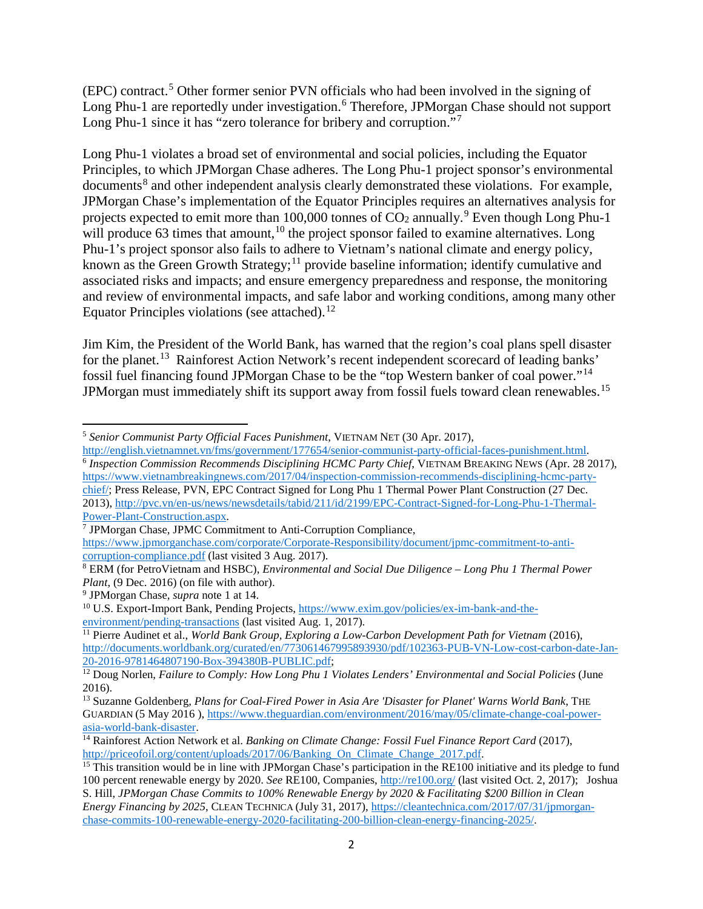(EPC) contract.[5](#page-1-0) Other former senior PVN officials who had been involved in the signing of Long Phu-1 are reportedly under investigation.<sup>[6](#page-1-1)</sup> Therefore, JPMorgan Chase should not support Long Phu-1 since it has "zero tolerance for bribery and corruption."<sup>[7](#page-1-2)</sup>

Long Phu-1 violates a broad set of environmental and social policies, including the Equator Principles, to which JPMorgan Chase adheres. The Long Phu-1 project sponsor's environmental documents<sup>[8](#page-1-3)</sup> and other independent analysis clearly demonstrated these violations. For example, JPMorgan Chase's implementation of the Equator Principles requires an alternatives analysis for projects expected to emit more than 100,000 tonnes of  $CO_2$  annually.<sup>[9](#page-1-4)</sup> Even though Long Phu-1 will produce 63 times that amount, $10$  the project sponsor failed to examine alternatives. Long Phu-1's project sponsor also fails to adhere to Vietnam's national climate and energy policy, known as the Green Growth Strategy;<sup>[11](#page-1-6)</sup> provide baseline information; identify cumulative and associated risks and impacts; and ensure emergency preparedness and response, the monitoring and review of environmental impacts, and safe labor and working conditions, among many other Equator Principles violations (see attached).<sup>[12](#page-1-7)</sup>

Jim Kim, the President of the World Bank, has warned that the region's coal plans spell disaster for the planet.<sup>13</sup> Rainforest Action Network's recent independent scorecard of leading banks' fossil fuel financing found JPMorgan Chase to be the "top Western banker of coal power."[14](#page-1-9) JPMorgan must immediately shift its support away from fossil fuels toward clean renewables.<sup>[15](#page-1-10)</sup>

<span id="page-1-1"></span><sup>6</sup> Inspection Commission Recommends Disciplining HCMC Party Chief, VIETNAM BREAKING NEWS (Apr. 28 2017), [https://www.vietnambreakingnews.com/2017/04/inspection-commission-recommends-disciplining-hcmc-party](https://www.vietnambreakingnews.com/2017/04/inspection-commission-recommends-disciplining-hcmc-party-chief/)[chief/;](https://www.vietnambreakingnews.com/2017/04/inspection-commission-recommends-disciplining-hcmc-party-chief/) Press Release, PVN, EPC Contract Signed for Long Phu 1 Thermal Power Plant Construction (27 Dec. 2013), http://pvc.vn/en-us/news/newsdetails/tabid/211/id/2199/EPC-Contract-Signed-for-Long-Phu-1-Thermal-Power-Plant-Construction.aspx.

<span id="page-1-2"></span><sup>7</sup> JPMorgan Chase, JPMC Commitment to Anti-Corruption Compliance,

<span id="page-1-6"></span><sup>11</sup> Pierre Audinet et al., *World Bank Group, Exploring a Low-Carbon Development Path for Vietnam (2016)*, [http://documents.worldbank.org/curated/en/773061467995893930/pdf/102363-PUB-VN-Low-cost-carbon-date-Jan-](http://documents.worldbank.org/curated/en/773061467995893930/pdf/102363-PUB-VN-Low-cost-carbon-date-Jan-20-2016-9781464807190-Box-394380B-PUBLIC.pdf)[20-2016-9781464807190-Box-394380B-PUBLIC.pdf;](http://documents.worldbank.org/curated/en/773061467995893930/pdf/102363-PUB-VN-Low-cost-carbon-date-Jan-20-2016-9781464807190-Box-394380B-PUBLIC.pdf)

<span id="page-1-0"></span>l <sup>5</sup> *Senior Communist Party Official Faces Punishment*, VIETNAM NET (30 Apr. 2017),<br>http://english.vietnamnet.vn/fms/government/177654/senior-communist-party-official-faces-punishment.html.

[https://www.jpmorganchase.com/corporate/Corporate-Responsibility/document/jpmc-commitment-to-anti](https://www.jpmorganchase.com/corporate/Corporate-Responsibility/document/jpmc-commitment-to-anti-corruption-compliance.pdf)[corruption-compliance.pdf](https://www.jpmorganchase.com/corporate/Corporate-Responsibility/document/jpmc-commitment-to-anti-corruption-compliance.pdf) (last visited 3 Aug. 2017).

<span id="page-1-3"></span><sup>8</sup> ERM (for PetroVietnam and HSBC), *Environmental and Social Due Diligence – Long Phu 1 Thermal Power Plant*, (9 Dec. 2016) (on file with author).

<span id="page-1-4"></span><sup>9</sup> JPMorgan Chase, *supra* note [1](#page-0-4) at 14.

<span id="page-1-5"></span><sup>10</sup> U.S. Export-Import Bank, Pending Projects, [https://www.exim.gov/policies/ex-im-bank-and-the](https://www.exim.gov/policies/ex-im-bank-and-the-environment/pending-transactions)[environment/pending-transactions](https://www.exim.gov/policies/ex-im-bank-and-the-environment/pending-transactions) (last visited Aug. 1, 2017).

<span id="page-1-7"></span><sup>12</sup> Doug Norlen, *Failure to Comply: How Long Phu 1 Violates Lenders' Environmental and Social Policies* (June 2016).

<span id="page-1-8"></span><sup>13</sup> Suzanne Goldenberg*, Plans for Coal-Fired Power in Asia Are 'Disaster for Planet' Warns World Bank*, THE GUARDIAN (5 May 2016), https://www.theguardian.com/environment/2016/may/05/climate-change-coal-power-<br>asia-world-bank-disaster.

<span id="page-1-9"></span><sup>&</sup>lt;sup>14</sup> Rainforest Action Network et al. *Banking on Climate Change: Fossil Fuel Finance Report Card* (2017), [http://priceofoil.org/content/uploads/2017/06/Banking\\_On\\_Climate\\_Change\\_2017.pdf.](http://priceofoil.org/content/uploads/2017/06/Banking_On_Climate_Change_2017.pdf)

<span id="page-1-10"></span><sup>&</sup>lt;sup>15</sup> This transition would be in line with JPMorgan Chase's participation in the RE100 initiative and its pledge to fund 100 percent renewable energy by 2020. *See* RE100, Companies,<http://re100.org/> (last visited Oct. 2, 2017); Joshua S. Hill, *JPMorgan Chase Commits to 100% Renewable Energy by 2020 & Facilitating \$200 Billion in Clean Energy Financing by 2025*, CLEAN TECHNICA (July 31, 2017), [https://cleantechnica.com/2017/07/31/jpmorgan](https://cleantechnica.com/2017/07/31/jpmorgan-chase-commits-100-renewable-energy-2020-facilitating-200-billion-clean-energy-financing-2025/)[chase-commits-100-renewable-energy-2020-facilitating-200-billion-clean-energy-financing-2025/.](https://cleantechnica.com/2017/07/31/jpmorgan-chase-commits-100-renewable-energy-2020-facilitating-200-billion-clean-energy-financing-2025/)